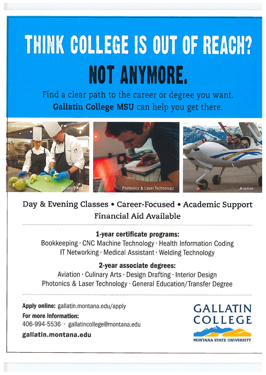# THINK COLLEGE IS OUT OF REACH? NOT ANYMORE.

Find a clear path to the career or degree you want. Gallatin College MSU can help you get there.



## Day & Evening Classes • Career-Focused • Academic Support Financial Aid Available

## 1-year certificate programs:

Bookkeeping · CNC Machine Technology · Health Information Coding IT Networking · Medical Assistant · Welding Technology

## 2-year associate degrees:

Aviation · Culinary Arts · Design Drafting · Interior Design Photonics & Laser Technology · General Education/Transfer Degree

Apply online: gallatin.montana.edu/apply

## For more information:

406-994-5536 · gallatincollege@montana.edu

gallatin.montana.edu

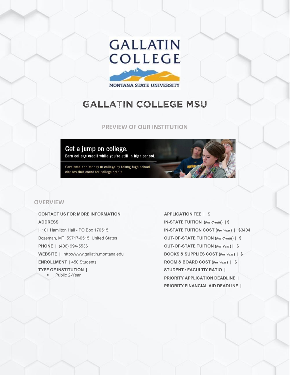## **GALLATIN COLLEGE**

MONTANA STATE UNIVERSITY

## GALLATIN COLLEGE MSU

## **PREVIEW OF OUR INSTITUTION**

## Get a jump on college.

Earn college credit while you're still in high school.

Save time and money in college by taking high school classes that count for college credit.

## **OVERVIEW**

## **CONTACT US FOR MORE INFORMATION ADDRESS**

**|** 101 Hamilton Hall - PO Box 170515, Bozeman, MT 59717-0515 United States **PHONE |** (406) 994-5536 **WEBSITE |** http://www.gallatin.montana.edu **ENROLLMENT |** 450 Students **TYPE OF INSTITUTION |** ▪ Public 2-Year

**APPLICATION FEE |** \$ **IN-STATE TUITION (***Per Credit***) |** \$ **IN-STATE TUITION COST (***Per Year***) |** \$3404 **OUT-OF-STATE TUITION (***Per Credit***) |** \$ **OUT-OF-STATE TUITION (***Per Year***) |** \$ **BOOKS & SUPPLIES COST (***Per Year***) |** \$ **ROOM & BOARD COST (***Per Year***) |** \$ **STUDENT : FACULTIY RATIO | PRIORITY APPLICATION DEADLINE | PRIORITY FINANCIAL AID DEADLINE |**